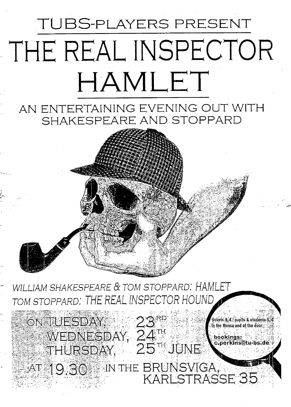# **TUBS-PLAYERS PRESENT** THE REAL INSPECTOR HAMLET

## AN ENTERTAINING EVENING OUT WITH SHAKESPEARE AND STOPPARD

WILLIAM SHAKESPEARE & TOM STOPPARD: HAMLET TOM STOPPARD: THE REAL INSPECTOR HOUND

ON TUESDAY, WEDNESDAY, 24TH<br>THURSDAY, 25THJUNE

tickets 8, € / pupils & students : in the Mensa and at the door

AT 19.30 IN THE BRUNSVIGA,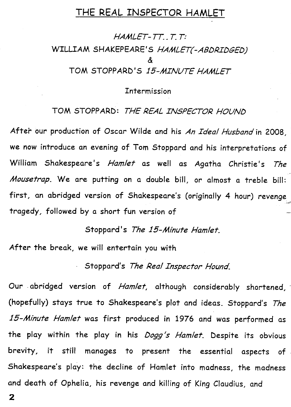#### **T HE REAL INSPECTOR HAMLET**

*HAMLET-TT.,T.T:*  WILLIAM SHAKEPEARE'S HAMLET(-ABDRIDGED) *&*  **T O M STOP P ARD' S** *15-AilNUTE HAMLET* 

**Intermfssion** 

**T O M STOP P ARD :** *THE REAL INSPECTOR HOUNö* 

**After our production of** *Ozcor* **Wilde and his** *An Ideal Husband\n* **2008,**  we now introduce an evening of Tom Stoppard and his interpretations of **William Shakespeare's** *Hamlet* **as well as Agatha Christie's** *The Mousetrap*. We are putting on a double bill, or almost a treble bill: first, an abridged version of Shakespeare's (originally 4 hour) revenge **tragedy, followed by a short fun version of** 

**Stoppard's** *The 15-Minute Hamlet.* 

After the break, we will entertain you with

**Stoppard's** *The Real Inspector Hound.* 

**O ur abridged version of** *Hamlet,* **although considerably shortened, (hopefully) stays true to Shakespeare's plot and ideas. Stoppard's** *The 15-Minute Hamlet* **was first produced in 1976 and was performed as the play within the play in his** *Dogg's Hamlet.* **Despite its obvious brevity, it still manages to present the essential aspects of Shakespeare's play: the decline of Hamlet into madness, the madness and death of Ophelia, his revenge and killing of King Claudius, and**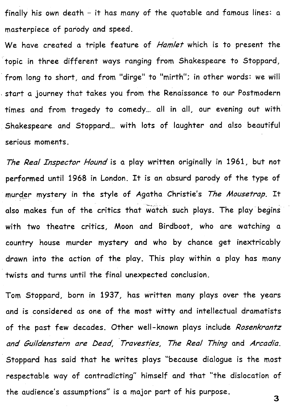**finally his own death - it has many of the quotable and famous lines: a masterpiece of parody and speed.** 

We have created a triple feature of *Hamlet* which is to present the **topic in three different ways ranging from Shakespeare to Stoppard, from long to short, and from "dirge" to "mirth"; in other words: we will Start a journey that takes you from the** *^ex\a\zsax\cz.* **to our Postmodern times and from tragedy to comedy... all in all, our evening out with Shakespeare and Stoppard... with lots of laughter and also beautifui serious moments.** 

*The Real Inspector Hound* is a play written originally in 1961, but not **performed until 1968 in London. It is an absurd parody of the type of murder mystery in the style of Agatha Christie's** *The Mousetrap.* **It**  also makes fun of the critics that watch such plays. The play begins **with two theatre critics, Moon and Birdboot, who are watching a country house murder mystery and who by chance get inextricably drawn into the action of the play. This play within a play has many twists and turns until the final unexpected conclusion.** 

Tom Stoppard, born in 1937, has written many plays over the years **and is considered as one of the most witty and intellectual dramatists of the past few decades. Other well-known plays include** *Rosenkrantz and Quildenstern are bead, Travestfes, The Real Thing* **and** *Arcadia.*  **Stoppard has said that he writes plays "because dialogue is the most respectable way of contradicting" himself and that "the dislocation of the audience's assumptions" is a major part of his purpose.**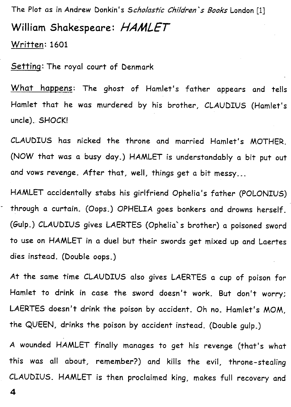**The Plot as in Andrew Donkin's** *Scholasfic Children's Baaks* **London** [1] **William Shakespeare:** *HAMLET*  **Written •• 1601** 

**Setting: The royal court of Denmark** 

What happens: The ghost of Hamlet's father appears and tells Hamlet that he was murdered by his brother, CLAUDIUS (Hamlet's uncle). SHOCK!

**CLAUDIU S has nicked the throne and married Hamlet's MOTHER . (NO W that was a busy day.) HAMLE T is understandably a bit put out and vows revenge. After that, well, things get a bit messy...** 

**HAMLE T accidentally stabs his girlfriend Ophelia's father (POLONIUS )**  through a curtain. (Oops.) OPHELIA goes bonkers and drowns herself. **(öulp.) CLAUDIU S gives LAERTE S (Ophelia" s brother) a poisoned sword to use on HAMLE T in a duel but their swords get mixed up and Laertes dies instead. (Double oops.)** 

At the same time CLAUDIUS also gives LAERTES a cup of poison for **Hamlet to drink in case the sword doesn't work. But don't worry;**  LAERTES doesn't drink the poison by accident. Oh no. Hamlet's MOM, **the QUEEN , drinks the poison by accident instead. (Double gulp.)** 

A wounded HAMLET finally manages to get his revenge (that's what **this was all about, remember?) and kills the evil, throne-stealing CLAUDIUS . HAMLE T is then prociaimed king, makes füll recovery and**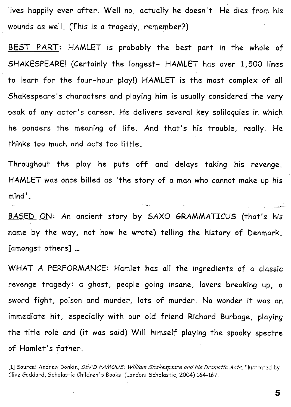lives happily ever after. Well no, actually he doesn't. He dies from his **wounds as well. (This is a tragedy, remember?)** 

**BEST PART:** HAMLET is probably the best part in the whole of **SHAKESPEARE!** (Certainly the longest- HAMLET has over 1,500 lines to learn for the four-hour play!) HAMLET is the most complex of all **Shakespeare's characters and playing him is usually considered the very peak of any actor's** *career.* **H e delivers several key soliloquies in which**  he ponders the meaning of life. And that's his trouble, really. He **thinks too much and acts too little.** 

**Throughout the play he puts off and delays taking his revenge.**  HAMLET was once billed as 'the story of a man who cannot make up his **mind'.** 

**BASED ON:** An ancient story by SAXO GRAMMATICUS (that's his **name by the way, not how he wrote) telling the history of Denmark. [amongst others] ...** 

**WHA T A PERFORMANCE : Hamlet has all the ingredients of a** *dassic revenge* **tragedy: a ghost, people going insane, lovers breaking up, a**  sword fight, poison and murder, lots of murder. No wonder it was an **immediate hit, especially with our old friend Richard Burbage, playing the title role and (it was said) Will himself playing the spooky spectre of Hamlet's father.** 

**[1] Source: Andrew Donkin,** *DEAD FAMOUS: Will/am Shakespeare and his bramatic Acfs.* **illustrated by**  Clive Goddard, Scholastic Children's Books (London: Scholastic, 2004) 164-167.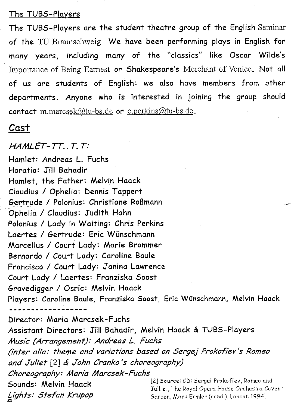#### The TUBS-Players

The TUBS-Players are the student theatre group of the English Seminar of the TU Braunschweig. We have been performing plays in English for **many years, including many of** the **"classics"** like *Oscar* **Wilde's**  Importance of Being Eamest **or Shakespeare's** Merchant of Venice. Not **all of US** are **students of English: we also** have **members from other departments. Anyone** who **is interested in joining** the **group should contact** m.marcsek@tu-bs.de or c.perkins@tu-bs.de.

### *Casf*

#### *HAMLET-TT..T.T:*

**Hamlet:** *Andreas* **L. Fuchs Horatio: Jill Bahadir Hamlet,** the **Father: Melvin Haack Claudius / Ophelia: Dennis Tappert Sertrude / Polonius: Christiane Roßmann Ophelia / Claudius: Judith Hahn Polonius / Lady in Waiting:** *Chris* **Perkins Laertes / öertrude: Eric Wünschmann Marcellus / Court Lady: Marie Brammer Bernardo / Court Lady: Caroline Baute Francisco / Court Lady: Janina Lawrence Court Lady / Laertes: Franziska Soost Gravedigger / Osric: Melvin Haack Players: Caroline Baule, Franziska Soost, Eric Wünschmann, Melvin Haack** 

**Director: Maria Marcsek-Fuchs Assistant Directors: Jill Bahadir, Melvin Haack & TUBS-Players**  *Music (Arrangement): Andreas L. Fuchs*  (inter alia: theme and variations based on Sergej Prokofiev's Romeo *and Juffet* **[2]** *John Cranf<o 's Choreograph/) Choreography: Marfa Marcsef<-Fuchs*  **Sounds: Melvin Haack** [2] Source: CD: Sergei Prokofiev, Romeo and **Sounds: Melvin Haack** Julliet, The Royal Opera House Orchestra Covent Lights: Stefan Krupop<br>
Garden, Mark Ermler (cond.), London 1994.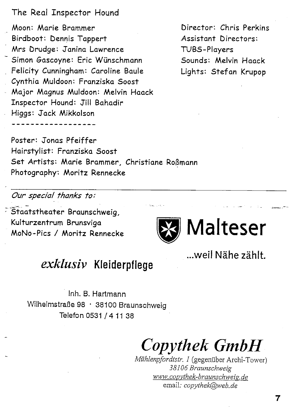#### The Real Inspector Hound

**Moon: Marie Brammer Birdboot: Dennis Tappert M rs Drudge: Janina Lawrence Simon Gascoyne: Eric Wünschmann Felicity Cunningham: Caroline Baule Cynthia Muldoon: Franziska Soost Major Magnus Muldoon: Melvin** *\r\aack*  **Inspector Hound: JÜI Bahadir Higgs: Jack Mikkolson** 

**Director: Chris Perkins Assistant Directors: TUBS-Players Sounds: Melvin Haack Lights: Stefan Krupop** 

**Poster: Jonas Pfeiffer Hairstylist: Franziska Soost Set Artists: Marie Brammer, Christiane Roßmann Photography: Moritz Rennecke** 

*Our Special fhanks to:* 

**Staatstheater Braunschweig, Kulturzentrum Brunsviga MoNo-Pics / Moritz Rennecke** 



**...weil Nähe zählt.** 

### *exklusiv* Kleiderpflege

Inh. B. Hartmann Wilhelmstraße 98 • 38100 Braunschweig Telefon 0531 / 4 11 38

*Copythek GmbH* 

*Mühlenpfordtstr. I* (gegenüber Archi-Tower) *38106 Braunschweig www, copvthek-braunschweis. de*  email; *copythek@web.de*